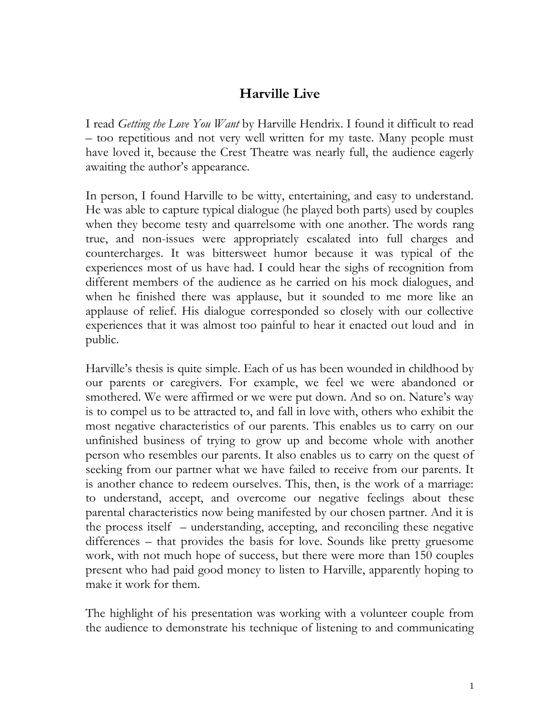## **Harville Live**

I read *Getting the Love You Want* by Harville Hendrix. I found it difficult to read – too repetitious and not very well written for my taste. Many people must have loved it, because the Crest Theatre was nearly full, the audience eagerly awaiting the author's appearance.

In person, I found Harville to be witty, entertaining, and easy to understand. He was able to capture typical dialogue (he played both parts) used by couples when they become testy and quarrelsome with one another. The words rang true, and non-issues were appropriately escalated into full charges and countercharges. It was bittersweet humor because it was typical of the experiences most of us have had. I could hear the sighs of recognition from different members of the audience as he carried on his mock dialogues, and when he finished there was applause, but it sounded to me more like an applause of relief. His dialogue corresponded so closely with our collective experiences that it was almost too painful to hear it enacted out loud and in public.

Harville's thesis is quite simple. Each of us has been wounded in childhood by our parents or caregivers. For example, we feel we were abandoned or smothered. We were affirmed or we were put down. And so on. Nature's way is to compel us to be attracted to, and fall in love with, others who exhibit the most negative characteristics of our parents. This enables us to carry on our unfinished business of trying to grow up and become whole with another person who resembles our parents. It also enables us to carry on the quest of seeking from our partner what we have failed to receive from our parents. It is another chance to redeem ourselves. This, then, is the work of a marriage: to understand, accept, and overcome our negative feelings about these parental characteristics now being manifested by our chosen partner. And it is the process itself – understanding, accepting, and reconciling these negative differences – that provides the basis for love. Sounds like pretty gruesome work, with not much hope of success, but there were more than 150 couples present who had paid good money to listen to Harville, apparently hoping to make it work for them.

The highlight of his presentation was working with a volunteer couple from the audience to demonstrate his technique of listening to and communicating